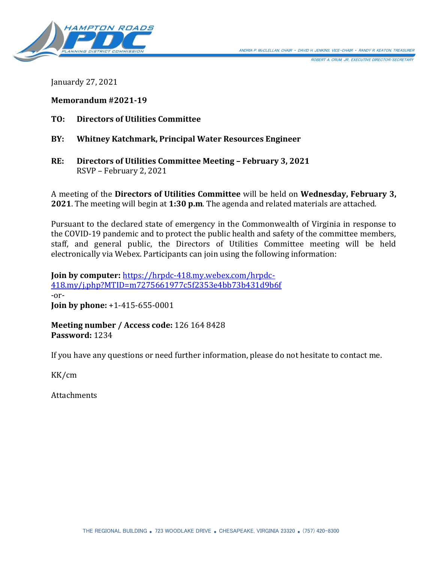

ROBERT A. CRUM, JR., EXECUTIVE DIRECTOR/SECRETARY

Januardy 27, 2021

**Memorandum #2021-19**

- **TO: Directors of Utilities Committee**
- **BY: Whitney Katchmark, Principal Water Resources Engineer**
- **RE: Directors of Utilities Committee Meeting – February 3, 2021** RSVP – February 2, 2021

A meeting of the **Directors of Utilities Committee** will be held on **Wednesday, February 3, 2021**. The meeting will begin at **1:30 p.m**. The agenda and related materials are attached.

Pursuant to the declared state of emergency in the Commonwealth of Virginia in response to the COVID-19 pandemic and to protect the public health and safety of the committee members, staff, and general public, the Directors of Utilities Committee meeting will be held electronically via Webex. Participants can join using the following information:

**Join by computer:** [https://hrpdc-418.my.webex.com/hrpdc-](https://hrpdc-418.my.webex.com/hrpdc-418.my/j.php?MTID=m7275661977c5f2353e4bb73b431d9b6f)[418.my/j.php?MTID=m7275661977c5f2353e4bb73b431d9b6f](https://hrpdc-418.my.webex.com/hrpdc-418.my/j.php?MTID=m7275661977c5f2353e4bb73b431d9b6f) -or-**Join by phone:** +1-415-655-0001

**Meeting number / Access code:** 126 164 8428 **Password:** 1234

If you have any questions or need further information, please do not hesitate to contact me.

KK/cm

Attachments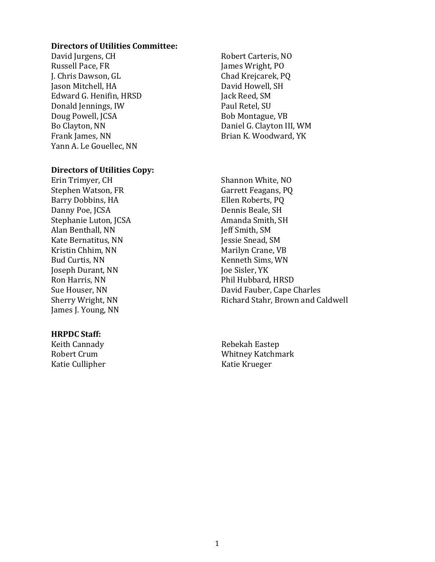#### **Directors of Utilities Committee:**

David Jurgens, CH Russell Pace, FR J. Chris Dawson, GL Jason Mitchell, HA Edward G. Henifin, HRSD Donald Jennings, IW Doug Powell, JCSA Bo Clayton, NN Frank James, NN Yann A. Le Gouellec, NN

#### **Directors of Utilities Copy:**

Erin Trimyer, CH Stephen Watson, FR Barry Dobbins, HA Danny Poe, JCSA Stephanie Luton, JCSA Alan Benthall, NN Kate Bernatitus, NN Kristin Chhim, NN Bud Curtis, NN Joseph Durant, NN Ron Harris, NN Sue Houser, NN Sherry Wright, NN James J. Young, NN

#### **HRPDC Staff:**

Keith Cannady Robert Crum Katie Cullipher

Robert Carteris, NO James Wright, PO Chad Krejcarek, PQ David Howell, SH Jack Reed, SM Paul Retel, SU Bob Montague, VB Daniel G. Clayton III, WM Brian K. Woodward, YK

Shannon White, NO Garrett Feagans, PQ Ellen Roberts, PQ Dennis Beale, SH Amanda Smith, SH Jeff Smith, SM Jessie Snead, SM Marilyn Crane, VB Kenneth Sims, WN Joe Sisler, YK Phil Hubbard, HRSD David Fauber, Cape Charles Richard Stahr, Brown and Caldwell

Rebekah Eastep Whitney Katchmark Katie Krueger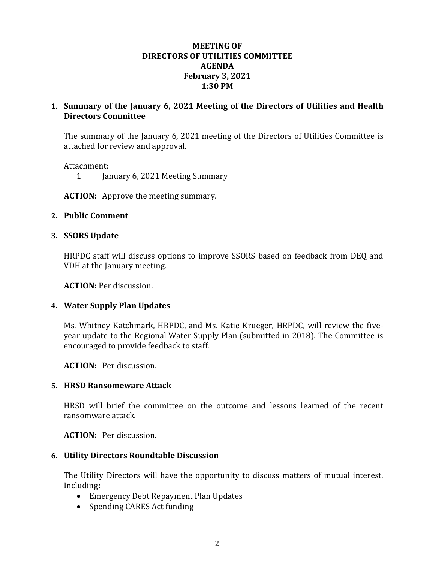## **MEETING OF DIRECTORS OF UTILITIES COMMITTEE AGENDA February 3, 2021 1:30 PM**

# **1. Summary of the January 6, 2021 Meeting of the Directors of Utilities and Health Directors Committee**

The summary of the January 6, 2021 meeting of the Directors of Utilities Committee is attached for review and approval.

Attachment:

1 January 6, 2021 Meeting Summary

**ACTION:** Approve the meeting summary.

## **2. Public Comment**

## **3. SSORS Update**

HRPDC staff will discuss options to improve SSORS based on feedback from DEQ and VDH at the January meeting.

**ACTION:** Per discussion.

# **4. Water Supply Plan Updates**

Ms. Whitney Katchmark, HRPDC, and Ms. Katie Krueger, HRPDC, will review the fiveyear update to the Regional Water Supply Plan (submitted in 2018). The Committee is encouraged to provide feedback to staff.

**ACTION:** Per discussion.

# **5. HRSD Ransomeware Attack**

HRSD will brief the committee on the outcome and lessons learned of the recent ransomware attack.

**ACTION:** Per discussion.

# **6. Utility Directors Roundtable Discussion**

The Utility Directors will have the opportunity to discuss matters of mutual interest. Including:

- Emergency Debt Repayment Plan Updates
- Spending CARES Act funding